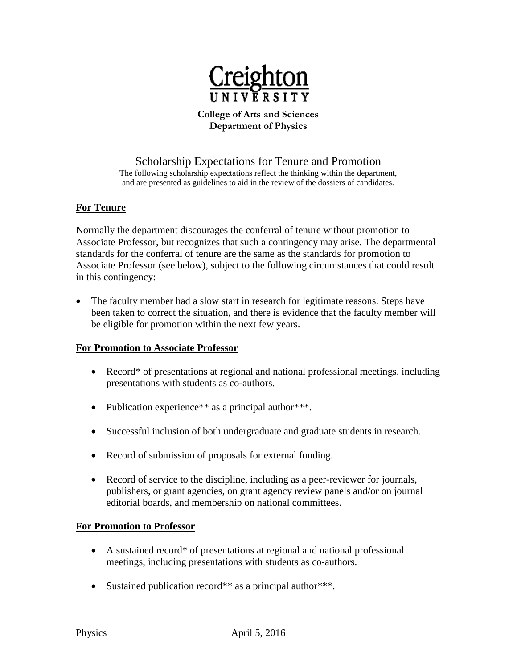

#### **College of Arts and Sciences Department of Physics**

# Scholarship Expectations for Tenure and Promotion

The following scholarship expectations reflect the thinking within the department, and are presented as guidelines to aid in the review of the dossiers of candidates.

### **For Tenure**

Normally the department discourages the conferral of tenure without promotion to Associate Professor, but recognizes that such a contingency may arise. The departmental standards for the conferral of tenure are the same as the standards for promotion to Associate Professor (see below), subject to the following circumstances that could result in this contingency:

• The faculty member had a slow start in research for legitimate reasons. Steps have been taken to correct the situation, and there is evidence that the faculty member will be eligible for promotion within the next few years.

### **For Promotion to Associate Professor**

- Record<sup>\*</sup> of presentations at regional and national professional meetings, including presentations with students as co-authors.
- Publication experience\*\* as a principal author\*\*\*.
- Successful inclusion of both undergraduate and graduate students in research.
- Record of submission of proposals for external funding.
- Record of service to the discipline, including as a peer-reviewer for journals, publishers, or grant agencies, on grant agency review panels and/or on journal editorial boards, and membership on national committees.

### **For Promotion to Professor**

- A sustained record\* of presentations at regional and national professional meetings, including presentations with students as co-authors.
- Sustained publication record<sup>\*\*</sup> as a principal author<sup>\*\*\*</sup>.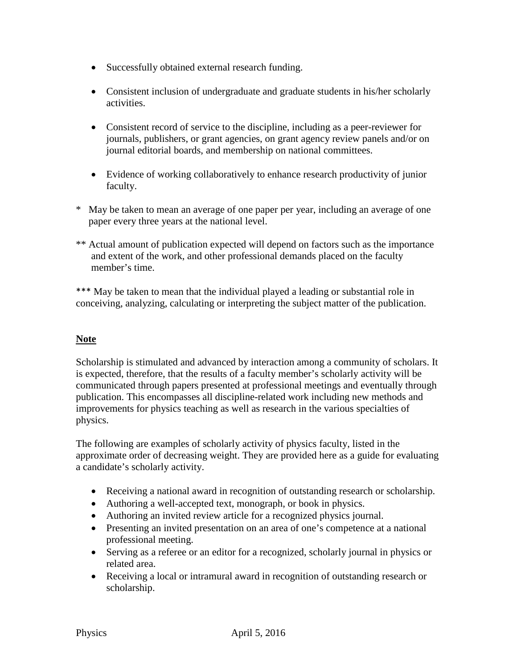- Successfully obtained external research funding.
- Consistent inclusion of undergraduate and graduate students in his/her scholarly activities.
- Consistent record of service to the discipline, including as a peer-reviewer for journals, publishers, or grant agencies, on grant agency review panels and/or on journal editorial boards, and membership on national committees.
- Evidence of working collaboratively to enhance research productivity of junior faculty.
- \* May be taken to mean an average of one paper per year, including an average of one paper every three years at the national level.
- \*\* Actual amount of publication expected will depend on factors such as the importance and extent of the work, and other professional demands placed on the faculty member's time.

\*\*\* May be taken to mean that the individual played a leading or substantial role in conceiving, analyzing, calculating or interpreting the subject matter of the publication.

## **Note**

Scholarship is stimulated and advanced by interaction among a community of scholars. It is expected, therefore, that the results of a faculty member's scholarly activity will be communicated through papers presented at professional meetings and eventually through publication. This encompasses all discipline-related work including new methods and improvements for physics teaching as well as research in the various specialties of physics.

The following are examples of scholarly activity of physics faculty, listed in the approximate order of decreasing weight. They are provided here as a guide for evaluating a candidate's scholarly activity.

- Receiving a national award in recognition of outstanding research or scholarship.
- Authoring a well-accepted text, monograph, or book in physics.
- Authoring an invited review article for a recognized physics journal.
- Presenting an invited presentation on an area of one's competence at a national professional meeting.
- Serving as a referee or an editor for a recognized, scholarly journal in physics or related area.
- Receiving a local or intramural award in recognition of outstanding research or scholarship.